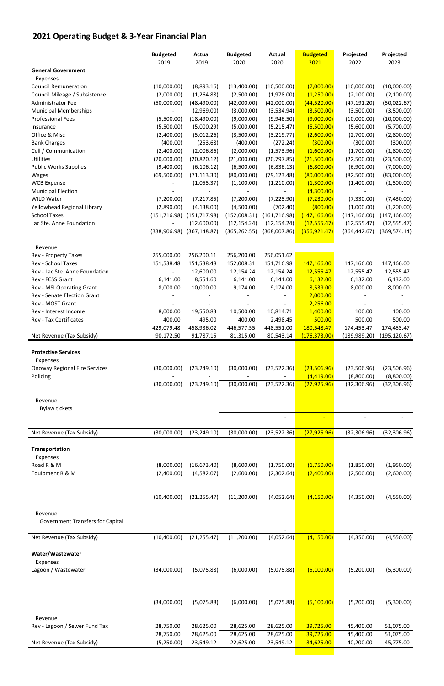## **2021 Operating Budget & 3‐Year Financial Plan**

|                                      | <b>Budgeted</b>          | <b>Actual</b>                   | <b>Budgeted</b> | <b>Actual</b>            | <b>Budgeted</b> | Projected     | Projected     |
|--------------------------------------|--------------------------|---------------------------------|-----------------|--------------------------|-----------------|---------------|---------------|
|                                      | 2019                     | 2019                            | 2020            | 2020                     | 2021            | 2022          | 2023          |
| <b>General Government</b>            |                          |                                 |                 |                          |                 |               |               |
| Expenses                             |                          |                                 |                 |                          |                 |               |               |
| <b>Council Remuneration</b>          | (10,000.00)              | (8,893.16)                      | (13,400.00)     | (10,500.00)              | (7,000.00)      | (10,000.00)   | (10,000.00)   |
| Council Mileage / Subsistence        | (2,000.00)               | (1, 264.88)                     | (2,500.00)      | (1,978.00)               | (1,250.00)      | (2,100.00)    | (2,100.00)    |
| Administrator Fee                    | (50,000.00)              | (48, 490.00)                    | (42,000.00)     | (42,000.00)              | (44,520.00)     | (47, 191.20)  | (50,022.67)   |
| <b>Municipal Memberships</b>         | $\overline{\phantom{a}}$ | (2,969.00)                      | (3,000.00)      | (3,534.94)               | (3,500.00)      | (3,500.00)    | (3,500.00)    |
| <b>Professional Fees</b>             | (5,500.00)               | (18, 490.00)                    | (9,000.00)      | (9,946.50)               | (9,000.00)      | (10,000.00)   | (10,000.00)   |
| Insurance                            | (5,500.00)               | (5,000.29)                      | (5,000.00)      | (5, 215.47)              | (5,500.00)      | (5,600.00)    | (5,700.00)    |
| Office & Misc                        | (2,400.00)               | (5,012.26)                      | (3,500.00)      | (3,219.77)               | (2,600.00)      | (2,700.00)    | (2,800.00)    |
| <b>Bank Charges</b>                  | (400.00)                 | (253.68)                        | (400.00)        | (272.24)                 | (300.00)        | (300.00)      | (300.00)      |
| Cell / Communication                 | (2,400.00)               | (2,006.86)                      | (2,000.00)      | (1,573.96)               | (1,600.00)      | (1,700.00)    | (1,800.00)    |
| <b>Utilities</b>                     | (20,000.00)              | (20, 820.12)                    | (21,000.00)     | (20, 797.85)             | (21,500.00)     | (22,500.00)   | (23,500.00)   |
| <b>Public Works Supplies</b>         | (9,400.00)               | (6, 106.12)                     | (6,500.00)      | (6,836.13)               | (6,800.00)      | (6,900.00)    | (7,000.00)    |
| Wages                                | (69,500.00)              | (71, 113.30)                    | (80,000.00)     | (79, 123.48)             | (80,000.00)     | (82,500.00)   | (83,000.00)   |
| <b>WCB Expense</b>                   |                          | (1,055.37)                      | (1,100.00)      | (1,210.00)               | (1,300.00)      | (1,400.00)    | (1,500.00)    |
| <b>Municipal Election</b>            |                          |                                 |                 |                          | (4,300.00)      |               |               |
| <b>WILD Water</b>                    | (7,200.00)               | (7, 217.85)                     | (7,200.00)      | (7, 225.90)              | (7, 230.00)     | (7,330.00)    | (7,430.00)    |
| Yellowhead Regional Library          | (2,890.00)               | (4, 138.00)                     | (4,500.00)      | (702.40)                 | (800.00)        | (1,000.00)    | (1,200.00)    |
| <b>School Taxes</b>                  |                          | $(151, 716.98)$ $(151, 717.98)$ | (152,008.31)    | (161, 716.98)            | (147, 166.00)   | (147, 166.00) | (147, 166.00) |
| Lac Ste. Anne Foundation             |                          | (12,600.00)                     | (12, 154.24)    | (12, 154.24)             | (12,555.47)     | (12, 555.47)  | (12, 555.47)  |
|                                      | (338,906.98)             | (367, 148.87)                   | (365, 262.55)   | (368,007.86)             | (356, 921.47)   | (364, 442.67) | (369, 574.14) |
| Revenue                              |                          |                                 |                 |                          |                 |               |               |
| Rev - Property Taxes                 | 255,000.00               | 256,200.11                      | 256,200.00      | 256,051.62               |                 |               |               |
| <b>Rev - School Taxes</b>            | 151,538.48               | 151,538.48                      | 152,008.31      | 151,716.98               | 147,166.00      | 147,166.00    | 147,166.00    |
| Rev - Lac Ste. Anne Foundation       |                          | 12,600.00                       | 12,154.24       | 12,154.24                | 12,555.47       | 12,555.47     | 12,555.47     |
| Rev - FCSS Grant                     | 6,141.00                 | 8,551.60                        | 6,141.00        | 6,141.00                 | 6,132.00        | 6,132.00      | 6,132.00      |
| Rev - MSI Operating Grant            | 8,000.00                 | 10,000.00                       | 9,174.00        | 9,174.00                 | 8,539.00        | 8,000.00      | 8,000.00      |
| Rev - Senate Election Grant          |                          |                                 |                 |                          | 2,000.00        |               |               |
| Rev - MOST Grant                     |                          |                                 |                 |                          | 2,256.00        |               |               |
| Rev - Interest Income                | 8,000.00                 | 19,550.83                       | 10,500.00       | 10,814.71                | 1,400.00        | 100.00        | 100.00        |
| <b>Rev - Tax Certificates</b>        | 400.00                   | 495.00                          | 400.00          | 2,498.45                 | 500.00          | 500.00        | 500.00        |
|                                      | 429,079.48               | 458,936.02                      | 446,577.55      | 448,551.00               | 180,548.47      | 174,453.47    | 174,453.47    |
| Net Revenue (Tax Subsidy)            | 90,172.50                | 91,787.15                       | 81,315.00       | 80,543.14                | (176, 373.00)   | (189, 989.20) | (195, 120.67) |
| <b>Protective Services</b>           |                          |                                 |                 |                          |                 |               |               |
| Expenses                             |                          |                                 |                 |                          |                 |               |               |
| <b>Onoway Regional Fire Services</b> | (30,000.00)              | (23, 249.10)                    | (30,000.00)     | (23, 522.36)             | (23,506.96)     | (23,506.96)   | (23,506.96)   |
| Policing                             |                          |                                 |                 |                          | (4,419.00)      | (8,800.00)    | (8,800.00)    |
|                                      | (30,000.00)              | (23, 249.10)                    | (30,000.00)     | (23,522.36)              | (27, 925.96)    | (32, 306.96)  | (32, 306.96)  |
|                                      |                          |                                 |                 |                          |                 |               |               |
| Revenue                              |                          |                                 |                 |                          |                 |               |               |
| <b>Bylaw tickets</b>                 |                          |                                 |                 |                          | $\sim$          |               |               |
|                                      |                          |                                 |                 | $\overline{\phantom{a}}$ |                 |               |               |
| Net Revenue (Tax Subsidy)            | (30,000.00)              | (23, 249.10)                    | (30,000.00)     | (23,522.36)              | (27, 925.96)    | (32, 306.96)  | (32, 306.96)  |
| Transportation                       |                          |                                 |                 |                          |                 |               |               |
| Expenses                             |                          |                                 |                 |                          |                 |               |               |
| Road R & M                           | (8,000.00)               | (16, 673.40)                    | (8,600.00)      | (1,750.00)               | (1,750.00)      | (1,850.00)    | (1,950.00)    |
| Equipment R & M                      | (2,400.00)               | (4,582.07)                      | (2,600.00)      | (2,302.64)               | (2,400.00)      | (2,500.00)    | (2,600.00)    |
|                                      |                          |                                 |                 |                          |                 |               |               |
|                                      | (10,400.00)              | (21, 255.47)                    | (11,200.00)     | (4,052.64)               | (4,150.00)      | (4,350.00)    | (4,550.00)    |
|                                      |                          |                                 |                 |                          |                 |               |               |

| Revenue                                 |             |              |             |                          |             |                          |            |
|-----------------------------------------|-------------|--------------|-------------|--------------------------|-------------|--------------------------|------------|
| <b>Government Transfers for Capital</b> |             |              |             |                          |             |                          |            |
|                                         |             |              |             | $\overline{\phantom{a}}$ | $\equiv$    | $\overline{\phantom{a}}$ |            |
| Net Revenue (Tax Subsidy)               | (10,400.00) | (21, 255.47) | (11,200.00) | (4,052.64)               | (4, 150.00) | (4,350.00)               | (4,550.00) |
|                                         |             |              |             |                          |             |                          |            |
| Water/Wastewater                        |             |              |             |                          |             |                          |            |
| Expenses                                |             |              |             |                          |             |                          |            |
| Lagoon / Wastewater                     | (34,000.00) | (5,075.88)   | (6,000.00)  | (5,075.88)               | (5,100.00)  | (5,200.00)               | (5,300.00) |
|                                         |             |              |             |                          |             |                          |            |
|                                         |             |              |             |                          |             |                          |            |
|                                         |             |              |             |                          |             |                          |            |
|                                         | (34,000.00) | (5,075.88)   | (6,000.00)  | (5,075.88)               | (5,100.00)  | (5,200.00)               | (5,300.00) |
|                                         |             |              |             |                          |             |                          |            |
| Revenue                                 |             |              |             |                          |             |                          |            |
| Rev - Lagoon / Sewer Fund Tax           | 28,750.00   | 28,625.00    | 28,625.00   | 28,625.00                | 39,725.00   | 45,400.00                | 51,075.00  |
|                                         | 28,750.00   | 28,625.00    | 28,625.00   | 28,625.00                | 39,725.00   | 45,400.00                | 51,075.00  |
| Net Revenue (Tax Subsidy)               | (5,250.00)  | 23,549.12    | 22,625.00   | 23,549.12                | 34,625.00   | 40,200.00                | 45,775.00  |
|                                         |             |              |             |                          |             |                          |            |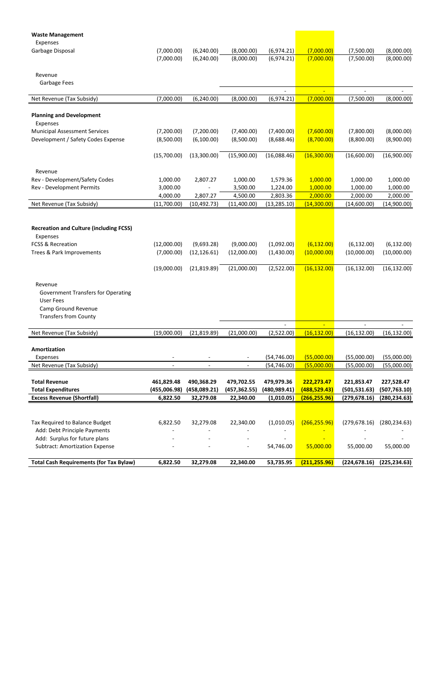| <b>Waste Management</b>                                                  |                         |                          |                         |                          |                         |                         |                         |
|--------------------------------------------------------------------------|-------------------------|--------------------------|-------------------------|--------------------------|-------------------------|-------------------------|-------------------------|
| Expenses<br>Garbage Disposal                                             | (7,000.00)              | (6, 240.00)              | (8,000.00)              | (6,974.21)               | (7,000.00)              | (7,500.00)              | (8,000.00)              |
|                                                                          | (7,000.00)              | (6,240.00)               | (8,000.00)              | (6,974.21)               | (7,000.00)              | (7,500.00)              | (8,000.00)              |
|                                                                          |                         |                          |                         |                          |                         |                         |                         |
| Revenue                                                                  |                         |                          |                         |                          |                         |                         |                         |
| Garbage Fees                                                             |                         |                          |                         |                          |                         |                         |                         |
|                                                                          |                         |                          |                         | $\overline{a}$           | $\equiv$                | $\qquad \qquad -$       |                         |
| Net Revenue (Tax Subsidy)                                                | (7,000.00)              | (6, 240.00)              | (8,000.00)              | (6,974.21)               | (7,000.00)              | (7,500.00)              | (8,000.00)              |
| <b>Planning and Development</b><br>Expenses                              |                         |                          |                         |                          |                         |                         |                         |
| <b>Municipal Assessment Services</b>                                     | (7,200.00)              | (7,200.00)               | (7,400.00)              | (7,400.00)               | (7,600.00)              | (7,800.00)              | (8,000.00)              |
| Development / Safety Codes Expense                                       | (8,500.00)              | (6,100.00)               | (8,500.00)              | (8,688.46)               | (8,700.00)              | (8,800.00)              | (8,900.00)              |
|                                                                          | (15,700.00)             | (13,300.00)              | (15,900.00)             | (16,088.46)              | (16,300.00)             | (16,600.00)             | (16,900.00)             |
|                                                                          |                         |                          |                         |                          |                         |                         |                         |
| Revenue                                                                  |                         |                          |                         |                          |                         |                         |                         |
| Rev - Development/Safety Codes                                           | 1,000.00                | 2,807.27                 | 1,000.00                | 1,579.36                 | 1,000.00                | 1,000.00                | 1,000.00                |
| Rev - Development Permits                                                | 3,000.00                |                          | 3,500.00                | 1,224.00                 | 1,000.00                | 1,000.00                | 1,000.00                |
| Net Revenue (Tax Subsidy)                                                | 4,000.00<br>(11,700.00) | 2,807.27<br>(10, 492.73) | 4,500.00<br>(11,400.00) | 2,803.36<br>(13, 285.10) | 2,000.00<br>(14,300.00) | 2,000.00<br>(14,600.00) | 2,000.00<br>(14,900.00) |
|                                                                          |                         |                          |                         |                          |                         |                         |                         |
| <b>Recreation and Culture (including FCSS)</b><br>Expenses               |                         |                          |                         |                          |                         |                         |                         |
| <b>FCSS &amp; Recreation</b>                                             | (12,000.00)             | (9,693.28)               | (9,000.00)              | (1,092.00)               | (6, 132.00)             | (6, 132.00)             | (6, 132.00)             |
| Trees & Park Improvements                                                | (7,000.00)              | (12, 126.61)             | (12,000.00)             | (1,430.00)               | (10,000.00)             | (10,000.00)             | (10,000.00)             |
|                                                                          | (19,000.00)             | (21, 819.89)             | (21,000.00)             | (2,522.00)               | (16, 132.00)            | (16, 132.00)            | (16, 132.00)            |
| Revenue<br><b>Government Transfers for Operating</b><br><b>User Fees</b> |                         |                          |                         |                          |                         |                         |                         |
| Camp Ground Revenue                                                      |                         |                          |                         |                          |                         |                         |                         |
| <b>Transfers from County</b>                                             |                         |                          |                         |                          |                         |                         |                         |
|                                                                          |                         |                          |                         |                          | $\omega$                |                         |                         |
| Net Revenue (Tax Subsidy)                                                | (19,000.00)             | (21, 819.89)             | (21,000.00)             | (2,522.00)               | (16, 132.00)            | (16, 132.00)            | (16, 132.00)            |
| Amortization                                                             |                         |                          |                         |                          |                         |                         |                         |
| Expenses                                                                 |                         |                          |                         | (54, 746.00)             | (55,000.00)             | (55,000.00)             | (55,000.00)             |
| Net Revenue (Tax Subsidy)                                                |                         |                          |                         | (54, 746.00)             | (55,000.00)             | (55,000.00)             | (55,000.00)             |
| <b>Total Revenue</b>                                                     | 461,829.48              | 490,368.29               | 479,702.55              | 479,979.36               | 222,273.47              | 221,853.47              | 227,528.47              |
| <b>Total Expenditures</b>                                                | (455,006.98)            | (458,089.21)             | (457, 362.55)           | (480,989.41)             | (488,529.43)            | (501, 531.63)           | (507, 763.10)           |
| <b>Excess Revenue (Shortfall)</b>                                        | 6,822.50                | 32,279.08                | 22,340.00               | (1,010.05)               | (266, 255.96)           | (279, 678.16)           | (280, 234.63)           |
|                                                                          |                         |                          |                         |                          |                         |                         |                         |
| Tax Required to Balance Budget                                           | 6,822.50                | 32,279.08                | 22,340.00               | (1,010.05)               | (266, 255.96)           | (279, 678.16)           | (280, 234.63)           |
| Add: Debt Principle Payments                                             |                         |                          |                         |                          |                         |                         |                         |
| Add: Surplus for future plans                                            |                         |                          |                         |                          |                         |                         |                         |
| <b>Subtract: Amortization Expense</b>                                    |                         |                          |                         | 54,746.00                | 55,000.00               | 55,000.00               | 55,000.00               |
| <b>Total Cash Requirements (for Tax Bylaw)</b>                           | 6,822.50                | 32,279.08                | 22,340.00               | 53,735.95                | (211, 255.96)           | (224, 678.16)           | (225, 234.63)           |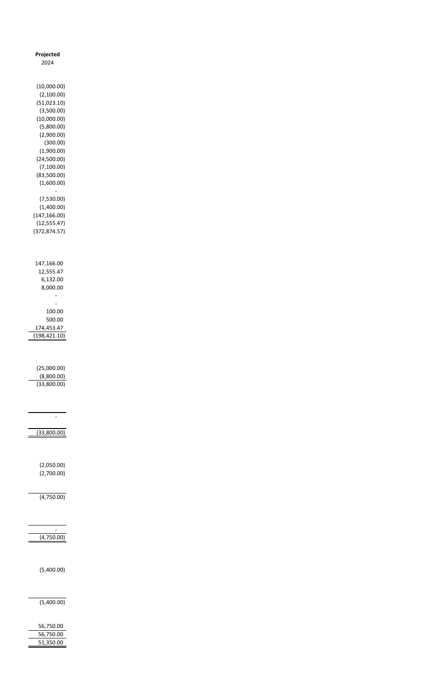| Projected                                                                                                                                                                              |  |
|----------------------------------------------------------------------------------------------------------------------------------------------------------------------------------------|--|
| 2024                                                                                                                                                                                   |  |
| (10,000.00)<br>(2,100.00)<br>(51,023.10)<br>(3,500.00)<br>(10,000.00)<br>(5,800.00)<br>(2,900.00)<br>(300.00)<br>(1,900.00)<br>(24,500.00)<br>(7, 100.00)<br>(83,500.00)<br>(1,600.00) |  |
| (7,530.00)<br>(1,400.00)<br>(147, 166.00)<br>(12, 555.47)<br>(372, 874.57)                                                                                                             |  |
| 147,166.00<br>12,555.47<br>6,132.00<br>8,000.00                                                                                                                                        |  |
| 100.00<br>500.00<br>174,453.47<br>(198, 421.10)                                                                                                                                        |  |
| (25,000.00)<br>(8,800.00)<br>(33,800.00)                                                                                                                                               |  |
| (33,800.00)                                                                                                                                                                            |  |
| (2,050.00)<br>(2,700.00)                                                                                                                                                               |  |

(4,750.00)

(4,750.00)

 $\mathcal{L}_{\text{eff}}$ 

(5,400.00)

(5,400.00)

 56,750.00 56,750.00 51,350.00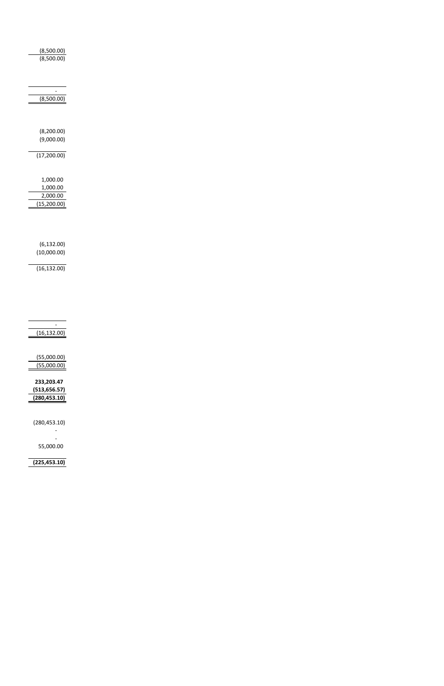| (8,500.00)   |  |
|--------------|--|
| (8,500.00)   |  |
|              |  |
|              |  |
|              |  |
|              |  |
| (8,500.00)   |  |
|              |  |
|              |  |
|              |  |
| (8, 200.00)  |  |
| (9,000.00)   |  |
| (17, 200.00) |  |
|              |  |
|              |  |
| 1,000.00     |  |
| 1,000.00     |  |
| 2,000.00     |  |
| (15, 200.00) |  |
|              |  |
|              |  |
|              |  |
|              |  |
| (6, 132.00)  |  |
| (10,000.00)  |  |
|              |  |
| (16, 132.00) |  |
|              |  |
|              |  |
|              |  |
|              |  |
|              |  |
|              |  |
|              |  |
| (16, 132.00) |  |

| (55,000.00)   |
|---------------|
| (55,000.00)   |
|               |
| 233.203.47    |
| (513,656.57)  |
| (280, 453.10) |
|               |
|               |
| (280, 453.10) |
|               |
|               |
| 55,000.00     |
|               |
| (225, 453.10) |
|               |